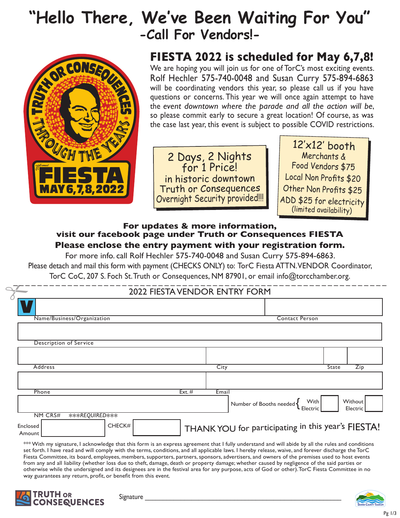## **"Hello There, We've Been Waiting For You" -Call For Vendors!-**



# **FIESTA 2022 is scheduled for May 6,7,8!**

We are hoping you will join us for one of TorC's most exciting events. Rolf Hechler 575-740-0048 and Susan Curry 575-894-6863 will be coordinating vendors this year, so please call us if you have questions or concerns. This year we will once again attempt to have the *event downtown where the parade and all the action will be*, so please commit early to secure a great location! Of course, as was the case last year, this event is subject to possible COVID restrictions.

2 Days, 2 Nights for 1 Price! in historic downtown Truth or Consequences Overnight Security provided!!!

12'x12' booth Merchants & Food Vendors \$75 Local Non Profits \$20 Other Non Profits \$25 ADD \$25 for electricity (limited availability)

#### **Please enclose the entry payment with your registration form. For updates & more information, visit our facebook page under Truth or Consequences FIESTA**

For more info. call Rolf Hechler 575-740-0048 and Susan Curry 575-894-6863. Please detach and mail this form with payment (CHECKS ONLY) to: TorC Fiesta ATTN. VENDOR Coordinator, TorC CoC, 207 S. Foch St. Truth or Consequences, NM 87901, or email info@torcchamber.org.

|                    |                                  |                                      |          |       | TorC CoC, 207 S. Foch St. Truth or Consequences, NM 87901, or email info@torcchamber.org. |              |                     |
|--------------------|----------------------------------|--------------------------------------|----------|-------|-------------------------------------------------------------------------------------------|--------------|---------------------|
| $\sim$             |                                  | <b>2022 FIESTA VENDOR ENTRY FORM</b> |          |       |                                                                                           |              |                     |
|                    |                                  |                                      |          |       |                                                                                           |              |                     |
|                    | Name/Business/Organization       |                                      |          |       | <b>Contact Person</b>                                                                     |              |                     |
|                    |                                  |                                      |          |       |                                                                                           |              |                     |
|                    | Description of Service           |                                      |          |       |                                                                                           |              |                     |
|                    |                                  |                                      |          |       |                                                                                           |              |                     |
|                    | Address                          |                                      |          | City  |                                                                                           | <b>State</b> | $\overline{Zip}$    |
|                    |                                  |                                      |          |       |                                                                                           |              |                     |
|                    | Phone                            |                                      | Ext. $#$ | Email |                                                                                           |              |                     |
|                    |                                  |                                      |          |       | Number of Booths needed $\left\{\frac{\text{With}}{\text{Electric}}\right\}$              |              | Without<br>Electric |
| Enclosed<br>Amount | <b>NM CRS#</b><br>***REQUIRED*** | CHECK#                               |          |       | THANK YOU for participating in this year's FIESTA!                                        |              |                     |

\*\*\* With my signature, I acknowledge that this form is an express agreement that I fully understand and will abide by all the rules and conditions set forth. I have read and will comply with the terms, conditions, and all applicable laws. I hereby release, waive, and forever discharge the TorC Fiesta Committee, its board, employees, members, supporters, partners, sponsors, advertisers, and owners of the premises used to host events from any and all liability (whether loss due to theft, damage, death or property damage; whether caused by negligence of the said parties or otherwise while the undersigned and its designees are in the festival area for any purpose, acts of God or other). TorC Fiesta Committee in no way guarantees any return, profit, or benefit from this event.



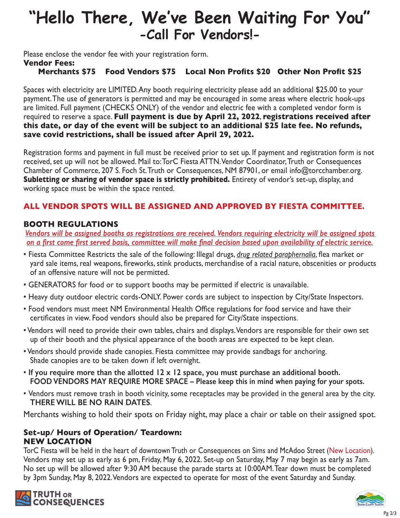## **"Hello There, We've Been Waiting For You" -Call For Vendors!-**

Please enclose the vendor fee with your registration form.

#### **Vendor Fees:**

#### **Merchants \$75 Food Vendors \$75 Local Non Profits \$20 Other Non Profit \$25**

Spaces with electricity are LIMITED. Any booth requiring electricity please add an additional \$25.00 to your payment. The use of generators is permitted and may be encouraged in some areas where electric hook-ups are limited. Full payment (CHECKS ONLY) of the vendor and electric fee with a completed vendor form is required to reserve a space. **Full payment is due by April 22, 2022**, **registrations received after this date, or day of the event will be subject to an additional \$25 late fee. No refunds, save covid restrictions, shall be issued after April 29, 2022.**

Registration forms and payment in full must be received prior to set up. If payment and registration form is not received, set up will not be allowed. Mail to: TorC Fiesta ATTN. Vendor Coordinator, Truth or Consequences Chamber of Commerce, 207 S. Foch St. Truth or Consequences, NM 87901, or email info@torcchamber.org. **Subletting or sharing of vendor space is strictly prohibited.** Entirety of vendor's set-up, display, and working space must be within the space rented.

#### **ALL VENDOR SPOTS WILL BE ASSIGNED AND APPROVED BY FIESTA COMMITTEE.**

#### **BOOTH REGULATIONS**

*Vendors will be assigned booths as registrations are received. Vendors requiring electricity will be assigned spots on a first come first served basis, committee will make final decision based upon availability of electric service.*

- Fiesta Committee Restricts the sale of the following: Illegal drugs, *drug related paraphernalia*, flea market or yard sale items, real weapons, fireworks, stink products, merchandise of a racial nature, obscenities or products of an offensive nature will not be permitted.
- GENERATORS for food or to support booths may be permitted if electric is unavailable.
- Heavy duty outdoor electric cords-ONLY. Power cords are subject to inspection by City/State Inspectors.
- Food vendors must meet NM Environmental Health Office regulations for food service and have their certificates in view. Food vendors should also be prepared for City/State inspections.
- Vendors will need to provide their own tables, chairs and displays. Vendors are responsible for their own set up of their booth and the physical appearance of the booth areas are expected to be kept clean.
- Vendors should provide shade canopies. Fiesta committee may provide sandbags for anchoring. Shade canopies are to be taken down if left overnight.
- **If you require more than the allotted 12 x 12 space, you must purchase an additional booth. FOOD VENDORS MAY REQUIRE MORE SPACE – Please keep this in mind when paying for your spots.**
- Vendors must remove trash in booth vicinity, some receptacles may be provided in the general area by the city. **THERE WILL BE NO RAIN DATES**.

Merchants wishing to hold their spots on Friday night, may place a chair or table on their assigned spot.

#### **Set-up/ Hours of Operation/ Teardown: NEW LOCATION**

TorC Fiesta will be held in the heart of downtown Truth or Consequences on Sims and McAdoo Street (New Location). Vendors may set up as early as 6 pm, Friday, May 6, 2022. Set-up on Saturday, May 7 may begin as early as 7am. No set up will be allowed after 9:30 AM because the parade starts at 10:00AM. Tear down must be completed by 3pm Sunday, May 8, 2022. Vendors are expected to operate for most of the event Saturday and Sunday.